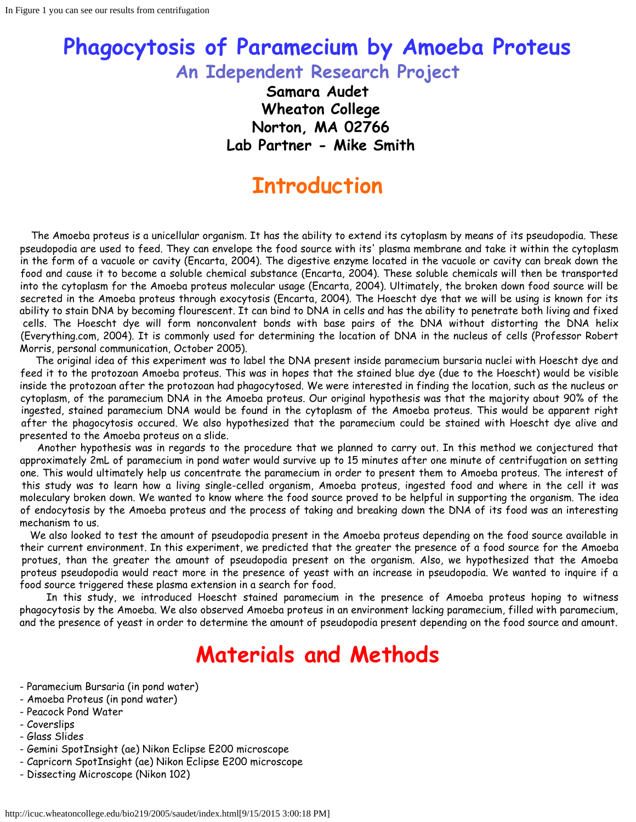### **Phagocytosis of Paramecium by Amoeba Proteus An Idependent Research Project**

**Samara Audet Wheaton College Norton, MA 02766 Lab Partner - Mike Smith**

### **Introduction**

 The Amoeba proteus is a unicellular organism. It has the ability to extend its cytoplasm by means of its pseudopodia. These pseudopodia are used to feed. They can envelope the food source with its' plasma membrane and take it within the cytoplasm in the form of a vacuole or cavity (Encarta, 2004). The digestive enzyme located in the vacuole or cavity can break down the food and cause it to become a soluble chemical substance (Encarta, 2004). These soluble chemicals will then be transported into the cytoplasm for the Amoeba proteus molecular usage (Encarta, 2004). Ultimately, the broken down food source will be secreted in the Amoeba proteus through exocytosis (Encarta, 2004). The Hoescht dye that we will be using is known for its ability to stain DNA by becoming flourescent. It can bind to DNA in cells and has the ability to penetrate both living and fixed cells. The Hoescht dye will form nonconvalent bonds with base pairs of the DNA without distorting the DNA helix (Everything.com, 2004). It is commonly used for determining the location of DNA in the nucleus of cells (Professor Robert Morris, personal communication, October 2005).

 The original idea of this experiment was to label the DNA present inside paramecium bursaria nuclei with Hoescht dye and feed it to the protozoan Amoeba proteus. This was in hopes that the stained blue dye (due to the Hoescht) would be visible inside the protozoan after the protozoan had phagocytosed. We were interested in finding the location, such as the nucleus or cytoplasm, of the paramecium DNA in the Amoeba proteus. Our original hypothesis was that the majority about 90% of the ingested, stained paramecium DNA would be found in the cytoplasm of the Amoeba proteus. This would be apparent right after the phagocytosis occured. We also hypothesized that the paramecium could be stained with Hoescht dye alive and presented to the Amoeba proteus on a slide.

 Another hypothesis was in regards to the procedure that we planned to carry out. In this method we conjectured that approximately 2mL of paramecium in pond water would survive up to 15 minutes after one minute of centrifugation on setting one. This would ultimately help us concentrate the paramecium in order to present them to Amoeba proteus. The interest of this study was to learn how a living single-celled organism, Amoeba proteus, ingested food and where in the cell it was moleculary broken down. We wanted to know where the food source proved to be helpful in supporting the organism. The idea of endocytosis by the Amoeba proteus and the process of taking and breaking down the DNA of its food was an interesting mechanism to us.

 We also looked to test the amount of pseudopodia present in the Amoeba proteus depending on the food source available in their current environment. In this experiment, we predicted that the greater the presence of a food source for the Amoeba protues, than the greater the amount of pseudopodia present on the organism. Also, we hypothesized that the Amoeba proteus pseudopodia would react more in the presence of yeast with an increase in pseudopodia. We wanted to inquire if a food source triggered these plasma extension in a search for food.

 In this study, we introduced Hoescht stained paramecium in the presence of Amoeba proteus hoping to witness phagocytosis by the Amoeba. We also observed Amoeba proteus in an environment lacking paramecium, filled with paramecium, and the presence of yeast in order to determine the amount of pseudopodia present depending on the food source and amount.

# **Materials and Methods**

- Paramecium Bursaria (in pond water)
- Amoeba Proteus (in pond water)
- Peacock Pond Water
- Coverslips
- Glass Slides
- Gemini SpotInsight (ae) Nikon Eclipse E200 microscope
- Capricorn SpotInsight (ae) Nikon Eclipse E200 microscope
- Dissecting Microscope (Nikon 102)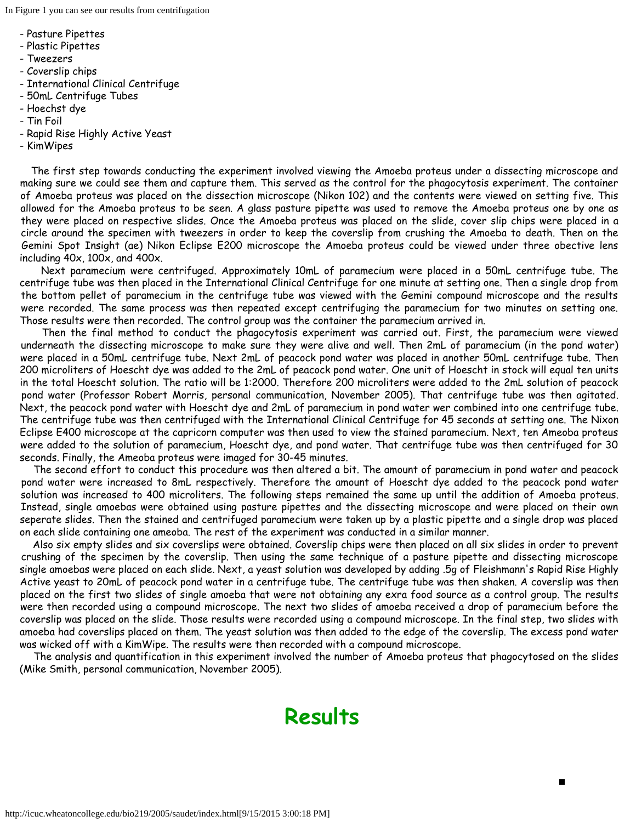In Figure 1 you can see our results from centrifugation

- Pasture Pipettes
- Plastic Pipettes
- Tweezers
- Coverslip chips
- International Clinical Centrifuge
- 50mL Centrifuge Tubes
- Hoechst dye
- Tin Foil
- Rapid Rise Highly Active Yeast
- KimWipes

 The first step towards conducting the experiment involved viewing the Amoeba proteus under a dissecting microscope and making sure we could see them and capture them. This served as the control for the phagocytosis experiment. The container of Amoeba proteus was placed on the dissection microscope (Nikon 102) and the contents were viewed on setting five. This allowed for the Amoeba proteus to be seen. A glass pasture pipette was used to remove the Amoeba proteus one by one as they were placed on respective slides. Once the Amoeba proteus was placed on the slide, cover slip chips were placed in a circle around the specimen with tweezers in order to keep the coverslip from crushing the Amoeba to death. Then on the Gemini Spot Insight (ae) Nikon Eclipse E200 microscope the Amoeba proteus could be viewed under three obective lens including 40x, 100x, and 400x.

 Next paramecium were centrifuged. Approximately 10mL of paramecium were placed in a 50mL centrifuge tube. The centrifuge tube was then placed in the International Clinical Centrifuge for one minute at setting one. Then a single drop from the bottom pellet of paramecium in the centrifuge tube was viewed with the Gemini compound microscope and the results were recorded. The same process was then repeated except centrifuging the paramecium for two minutes on setting one. Those results were then recorded. The control group was the container the paramecium arrived in.

 Then the final method to conduct the phagocytosis experiment was carried out. First, the paramecium were viewed underneath the dissecting microscope to make sure they were alive and well. Then 2mL of paramecium (in the pond water) were placed in a 50mL centrifuge tube. Next 2mL of peacock pond water was placed in another 50mL centrifuge tube. Then 200 microliters of Hoescht dye was added to the 2mL of peacock pond water. One unit of Hoescht in stock will equal ten units in the total Hoescht solution. The ratio will be 1:2000. Therefore 200 microliters were added to the 2mL solution of peacock pond water (Professor Robert Morris, personal communication, November 2005). That centrifuge tube was then agitated. Next, the peacock pond water with Hoescht dye and 2mL of paramecium in pond water wer combined into one centrifuge tube. The centrifuge tube was then centrifuged with the International Clinical Centrifuge for 45 seconds at setting one. The Nixon Eclipse E400 microscope at the capricorn computer was then used to view the stained paramecium. Next, ten Ameoba proteus were added to the solution of paramecium, Hoescht dye, and pond water. That centrifuge tube was then centrifuged for 30 seconds. Finally, the Ameoba proteus were imaged for 30-45 minutes.

 The second effort to conduct this procedure was then altered a bit. The amount of paramecium in pond water and peacock pond water were increased to 8mL respectively. Therefore the amount of Hoescht dye added to the peacock pond water solution was increased to 400 microliters. The following steps remained the same up until the addition of Amoeba proteus. Instead, single amoebas were obtained using pasture pipettes and the dissecting microscope and were placed on their own seperate slides. Then the stained and centrifuged paramecium were taken up by a plastic pipette and a single drop was placed on each slide containing one ameoba. The rest of the experiment was conducted in a similar manner.

 Also six empty slides and six coverslips were obtained. Coverslip chips were then placed on all six slides in order to prevent crushing of the specimen by the coverslip. Then using the same technique of a pasture pipette and dissecting microscope single amoebas were placed on each slide. Next, a yeast solution was developed by adding .5g of Fleishmann's Rapid Rise Highly Active yeast to 20mL of peacock pond water in a centrifuge tube. The centrifuge tube was then shaken. A coverslip was then placed on the first two slides of single amoeba that were not obtaining any exra food source as a control group. The results were then recorded using a compound microscope. The next two slides of amoeba received a drop of paramecium before the coverslip was placed on the slide. Those results were recorded using a compound microscope. In the final step, two slides with amoeba had coverslips placed on them. The yeast solution was then added to the edge of the coverslip. The excess pond water was wicked off with a KimWipe. The results were then recorded with a compound microscope.

 The analysis and quantification in this experiment involved the number of Amoeba proteus that phagocytosed on the slides (Mike Smith, personal communication, November 2005).

### **Results**

П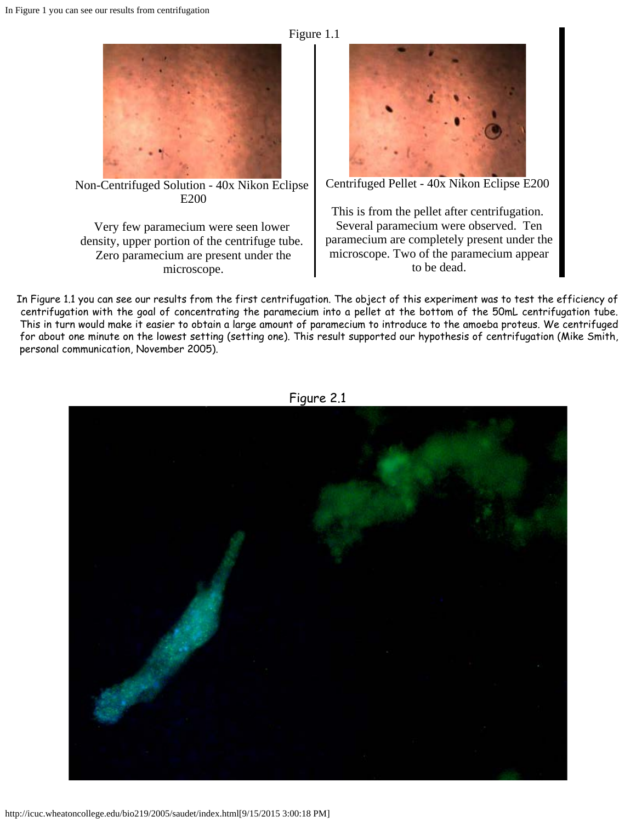



Non-Centrifuged Solution - 40x Nikon Eclipse E200

Very few paramecium were seen lower density, upper portion of the centrifuge tube. Zero paramecium are present under the microscope.



Centrifuged Pellet - 40x Nikon Eclipse E200

This is from the pellet after centrifugation. Several paramecium were observed. Ten paramecium are completely present under the microscope. Two of the paramecium appear to be dead.

In Figure 1.1 you can see our results from the first centrifugation. The object of this experiment was to test the efficiency of centrifugation with the goal of concentrating the paramecium into a pellet at the bottom of the 50mL centrifugation tube. This in turn would make it easier to obtain a large amount of paramecium to introduce to the amoeba proteus. We centrifuged for about one minute on the lowest setting (setting one). This result supported our hypothesis of centrifugation (Mike Smith, personal communication, November 2005).



Figure 2.1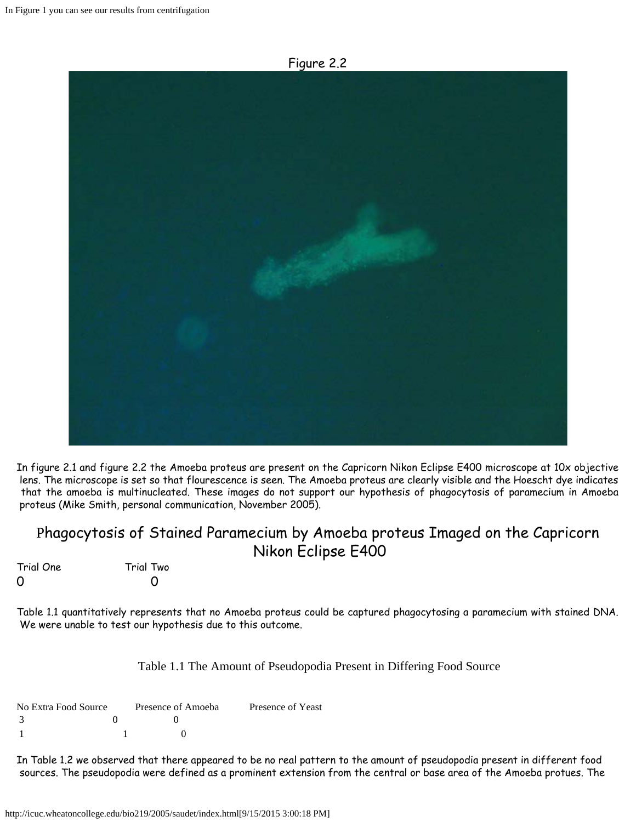Figure 2.2



In figure 2.1 and figure 2.2 the Amoeba proteus are present on the Capricorn Nikon Eclipse E400 microscope at 10x objective lens. The microscope is set so that flourescence is seen. The Amoeba proteus are clearly visible and the Hoescht dye indicates that the amoeba is multinucleated. These images do not support our hypothesis of phagocytosis of paramecium in Amoeba proteus (Mike Smith, personal communication, November 2005).

### Phagocytosis of Stained Paramecium by Amoeba proteus Imaged on the Capricorn Nikon Eclipse E400

Trial One Trial Two 0 0

Table 1.1 quantitatively represents that no Amoeba proteus could be captured phagocytosing a paramecium with stained DNA. We were unable to test our hypothesis due to this outcome.

#### Table 1.1 The Amount of Pseudopodia Present in Differing Food Source

| No Extra Food Source | Presence of Amoeba | Presence of Yeast |
|----------------------|--------------------|-------------------|
|                      |                    |                   |
|                      |                    |                   |

In Table 1.2 we observed that there appeared to be no real pattern to the amount of pseudopodia present in different food sources. The pseudopodia were defined as a prominent extension from the central or base area of the Amoeba protues. The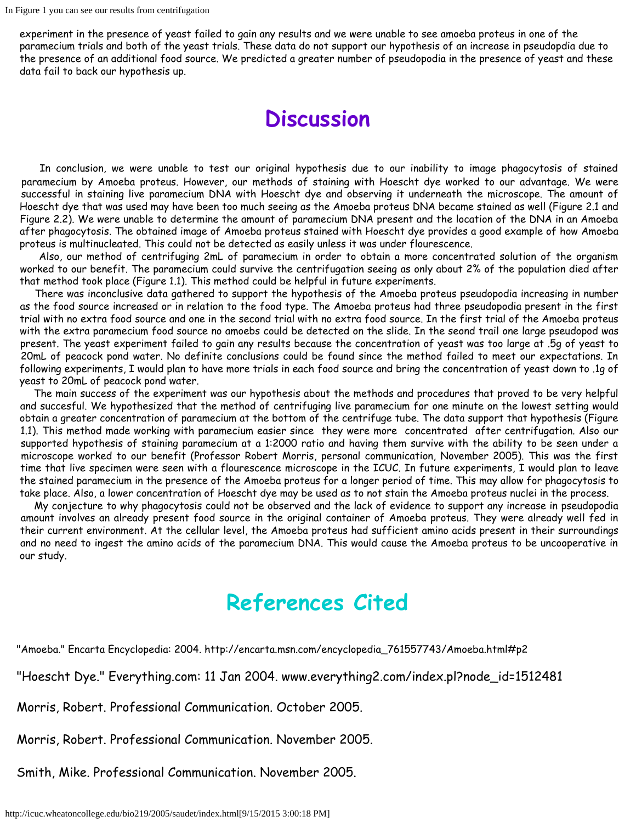experiment in the presence of yeast failed to gain any results and we were unable to see amoeba proteus in one of the paramecium trials and both of the yeast trials. These data do not support our hypothesis of an increase in pseudopdia due to the presence of an additional food source. We predicted a greater number of pseudopodia in the presence of yeast and these data fail to back our hypothesis up.

### **Discussion**

 In conclusion, we were unable to test our original hypothesis due to our inability to image phagocytosis of stained paramecium by Amoeba proteus. However, our methods of staining with Hoescht dye worked to our advantage. We were successful in staining live paramecium DNA with Hoescht dye and observing it underneath the microscope. The amount of Hoescht dye that was used may have been too much seeing as the Amoeba proteus DNA became stained as well (Figure 2.1 and Figure 2.2). We were unable to determine the amount of paramecium DNA present and the location of the DNA in an Amoeba after phagocytosis. The obtained image of Amoeba proteus stained with Hoescht dye provides a good example of how Amoeba proteus is multinucleated. This could not be detected as easily unless it was under flourescence.

 Also, our method of centrifuging 2mL of paramecium in order to obtain a more concentrated solution of the organism worked to our benefit. The paramecium could survive the centrifugation seeing as only about 2% of the population died after that method took place (Figure 1.1). This method could be helpful in future experiments.

 There was inconclusive data gathered to support the hypothesis of the Amoeba proteus pseudopodia increasing in number as the food source increased or in relation to the food type. The Amoeba proteus had three pseudopodia present in the first trial with no extra food source and one in the second trial with no extra food source. In the first trial of the Amoeba proteus with the extra paramecium food source no amoebs could be detected on the slide. In the seond trail one large pseudopod was present. The yeast experiment failed to gain any results because the concentration of yeast was too large at .5g of yeast to 20mL of peacock pond water. No definite conclusions could be found since the method failed to meet our expectations. In following experiments, I would plan to have more trials in each food source and bring the concentration of yeast down to .1g of yeast to 20mL of peacock pond water.

 The main success of the experiment was our hypothesis about the methods and procedures that proved to be very helpful and succesful. We hypothesized that the method of centrifuging live paramecium for one minute on the lowest setting would obtain a greater concentration of paramecium at the bottom of the centrifuge tube. The data support that hypothesis (Figure 1.1). This method made working with paramecium easier since they were more concentrated after centrifugation. Also our supported hypothesis of staining paramecium at a 1:2000 ratio and having them survive with the ability to be seen under a microscope worked to our benefit (Professor Robert Morris, personal communication, November 2005). This was the first time that live specimen were seen with a flourescence microscope in the ICUC. In future experiments, I would plan to leave the stained paramecium in the presence of the Amoeba proteus for a longer period of time. This may allow for phagocytosis to take place. Also, a lower concentration of Hoescht dye may be used as to not stain the Amoeba proteus nuclei in the process.

 My conjecture to why phagocytosis could not be observed and the lack of evidence to support any increase in pseudopodia amount involves an already present food source in the original container of Amoeba proteus. They were already well fed in their current environment. At the cellular level, the Amoeba proteus had sufficient amino acids present in their surroundings and no need to ingest the amino acids of the paramecium DNA. This would cause the Amoeba proteus to be uncooperative in our study.

# **References Cited**

"Amoeba." Encarta Encyclopedia: 2004. http://encarta.msn.com/encyclopedia\_761557743/Amoeba.html#p2

"Hoescht Dye." Everything.com: 11 Jan 2004. www.everything2.com/index.pl?node\_id=1512481

Morris, Robert. Professional Communication. October 2005.

Morris, Robert. Professional Communication. November 2005.

Smith, Mike. Professional Communication. November 2005.